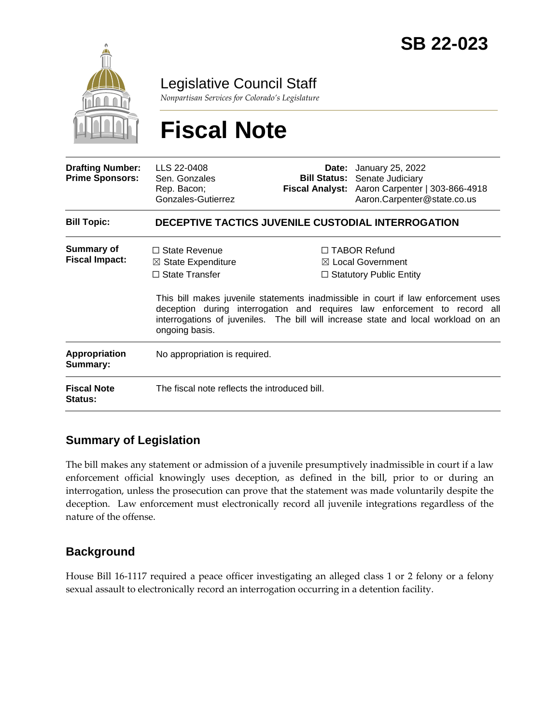

Legislative Council Staff

*Nonpartisan Services for Colorado's Legislature*

# **Fiscal Note**

| <b>Drafting Number:</b><br><b>Prime Sponsors:</b> | LLS 22-0408<br>Sen. Gonzales<br>Rep. Bacon;<br>Gonzales-Gutierrez                                |  | <b>Date:</b> January 25, 2022<br><b>Bill Status:</b> Senate Judiciary<br>Fiscal Analyst: Aaron Carpenter   303-866-4918<br>Aaron.Carpenter@state.co.us                                                                                                                                                                                        |  |
|---------------------------------------------------|--------------------------------------------------------------------------------------------------|--|-----------------------------------------------------------------------------------------------------------------------------------------------------------------------------------------------------------------------------------------------------------------------------------------------------------------------------------------------|--|
| <b>Bill Topic:</b>                                | DECEPTIVE TACTICS JUVENILE CUSTODIAL INTERROGATION                                               |  |                                                                                                                                                                                                                                                                                                                                               |  |
| Summary of<br><b>Fiscal Impact:</b>               | $\Box$ State Revenue<br>$\boxtimes$ State Expenditure<br>$\Box$ State Transfer<br>ongoing basis. |  | $\Box$ TABOR Refund<br>$\boxtimes$ Local Government<br>$\Box$ Statutory Public Entity<br>This bill makes juvenile statements inadmissible in court if law enforcement uses<br>deception during interrogation and requires law enforcement to record all<br>interrogations of juveniles. The bill will increase state and local workload on an |  |
| Appropriation<br>Summary:                         | No appropriation is required.                                                                    |  |                                                                                                                                                                                                                                                                                                                                               |  |
| <b>Fiscal Note</b><br>Status:                     | The fiscal note reflects the introduced bill.                                                    |  |                                                                                                                                                                                                                                                                                                                                               |  |

## **Summary of Legislation**

The bill makes any statement or admission of a juvenile presumptively inadmissible in court if a law enforcement official knowingly uses deception, as defined in the bill, prior to or during an interrogation, unless the prosecution can prove that the statement was made voluntarily despite the deception. Law enforcement must electronically record all juvenile integrations regardless of the nature of the offense.

## **Background**

House Bill 16-1117 required a peace officer investigating an alleged class 1 or 2 felony or a felony sexual assault to electronically record an interrogation occurring in a detention facility.